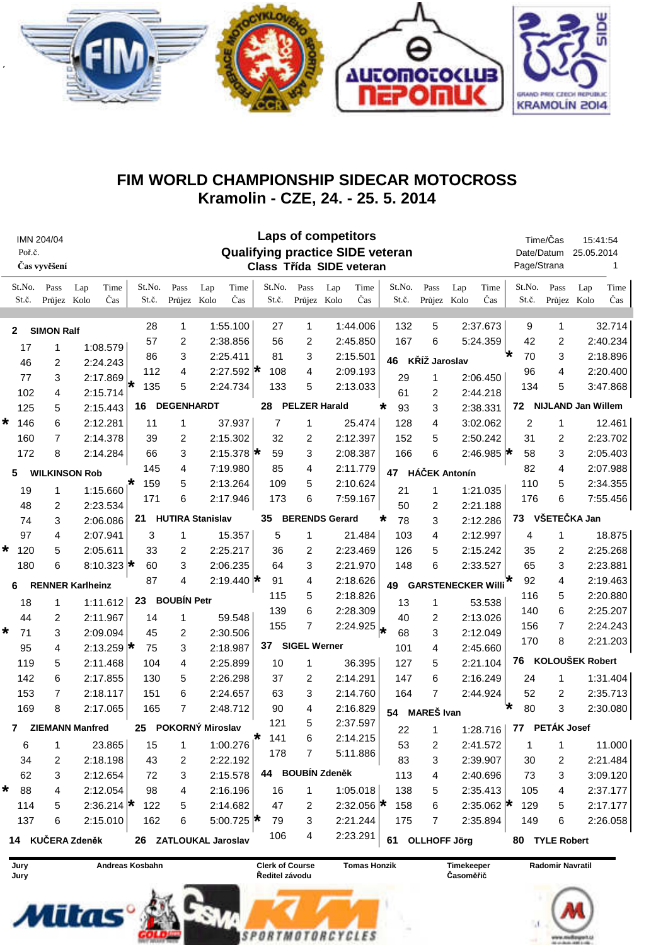

## FIM WORLD CHAMPIONSHIP SIDECAR MOTOCROSS Kramolin - CZE, 24. - 25. 5. 2014

|                      | Poř.č.          | IMN 204/04<br>Čas vyvěšení | <b>Laps of competitors</b><br><b>Qualifying practice SIDE veteran</b><br>Class Třída SIDE veteran |                         |                         |                      |                  |                         |                             |                     |                      |                    |                                |                            | Time/Čas<br>Date/Datum<br>Page/Strana |                      | 15:41:54<br>25.05.2014<br>1 |                           |                      |             |
|----------------------|-----------------|----------------------------|---------------------------------------------------------------------------------------------------|-------------------------|-------------------------|----------------------|------------------|-------------------------|-----------------------------|---------------------|----------------------|--------------------|--------------------------------|----------------------------|---------------------------------------|----------------------|-----------------------------|---------------------------|----------------------|-------------|
|                      | St.No.<br>St.č. | Pass<br>Průjez Kolo        | Lap                                                                                               | Time<br>Čas             | St.No.<br>St.č.         | Pass<br>Průjez Kolo  | Lap              | Time<br>Čas             | St.No.<br>St.č.             | Pass<br>Průjez Kolo | Lap                  | Time<br>Čas        | St.No.<br>St.č.                | Pass<br>Průjez Kolo        | Lap                                   | Time<br>Čas          | St.No.<br>St.č.             | Pass<br>Průjez Kolo       | Lap                  | Time<br>Čas |
|                      | $\mathbf{2}$    | <b>SIMON Ralf</b>          |                                                                                                   |                         | 28<br>57                | 1                    | 1:55.100         |                         | 27                          | 1<br>2              |                      | 1:44.006           | 132<br>167                     | 5<br>6                     |                                       | 2:37.673             | 9<br>42                     | 1                         |                      | 32.714      |
| 17<br>1              |                 | 1:08.579                   |                                                                                                   | 86                      | 2<br>3                  | 2:38.856<br>2:25.411 |                  | 56<br>81                | 3                           |                     | 2:45.850<br>2:15.501 |                    |                                | 5:24.359                   |                                       | 70                   | 2<br>3                      |                           | 2:40.234<br>2:18.896 |             |
|                      | 46              | 2<br>2:24.243<br>112<br>4  |                                                                                                   |                         |                         | 108                  | 4                |                         | 2:09.193                    | 46                  |                      | KŘÍŽ Jaroslav      |                                | 96                         | 4                                     |                      | 2:20.400                    |                           |                      |             |
|                      | 77              | 3                          | 2:27.592 $\star$<br>2:17.869<br>135<br>5<br>2:24.734<br>₩<br>2:15.714<br>4                        |                         | 133                     | 5                    |                  | 2:13.033                | 29                          | 1                   |                      | 2:06.450           | 134                            | 5                          |                                       |                      |                             |                           |                      |             |
|                      | 102             |                            |                                                                                                   |                         |                         |                      |                  |                         |                             |                     | 61<br>2              |                    |                                | 2:44.218                   |                                       |                      | 3:47.868                    |                           |                      |             |
|                      | 125             | 5                          |                                                                                                   | 2:15.443                | <b>DEGENHARDT</b><br>16 |                      |                  | 28                      |                             |                     | <b>PELZER Harald</b> |                    | 3<br>93<br>$\star$             |                            |                                       | 2:38.331             | 72                          | <b>NIJLAND Jan Willem</b> |                      |             |
| *                    | 146             | 6                          | 2:12.281                                                                                          |                         | 11                      | 1                    |                  | 37.937                  | 7                           | 1                   |                      | 25.474             | 128                            | 4                          |                                       | 3:02.062             | 2                           | 1                         |                      | 12.461      |
|                      | 160             | 7                          |                                                                                                   | 2:14.378                | 39                      | 2                    |                  | 2:15.302                | 32                          | 2                   |                      | 2:12.397           | 152                            | 5                          |                                       | 2:50.242             | 31                          | 2                         |                      | 2:23.702    |
|                      | 172             | 8                          |                                                                                                   | 2:14.284                | 66                      | 3                    |                  | 2:15.378 $\star$        | 59                          | 3                   |                      | 2:08.387           | 166                            | 6                          |                                       | 2:46.985 $\star$     | 58                          | 3                         |                      | 2:05.403    |
|                      | 5               | <b>WILKINSON Rob</b>       |                                                                                                   |                         | 145                     |                      | 7:19.980         |                         | 85                          | 4                   | 2:11.779             |                    | <b>HÁČEK Antonín</b><br>47     |                            |                                       |                      | 82                          | 4                         |                      | 2:07.988    |
|                      | 19              | 1                          |                                                                                                   | $1:15.660$ <sup>*</sup> | 159                     | 5                    |                  | 2:13.264                | 109                         | 5                   |                      | 2:10.624           | 21                             | 1                          |                                       | 1:21.035             | 110                         | 5                         |                      | 2:34.355    |
|                      | 48              | 2                          |                                                                                                   | 2:23.534                | 171                     | 6                    |                  | 2:17.946                | 173                         | 6                   |                      | 7:59.167           | 50                             | 2                          |                                       | 2:21.188             | 176                         | 6                         |                      | 7:55.456    |
|                      | 74              | 3                          | <b>HUTIRA Stanislav</b><br>21<br>2:06.086                                                         |                         |                         |                      |                  |                         | 35<br><b>BERENDS Gerard</b> |                     |                      |                    | 2:12.286<br>$\star$<br>78<br>3 |                            |                                       | VŠETEČKA Jan<br>73   |                             |                           |                      |             |
|                      | 97              | 4                          | 2:07.941                                                                                          |                         | 3                       | 1                    |                  | 15.357                  | 5                           | 1                   |                      | 21.484             | 103                            | 4                          |                                       | 2:12.997             | 4                           | 1                         |                      | 18.875      |
| *                    | 120             | 5                          | 2:05.611                                                                                          |                         | 33                      | 2                    |                  | 2:25.217                | 36                          | 2                   |                      | 2:23.469           | 126                            | 5                          |                                       | 2:15.242             | 35                          | 2                         |                      | 2:25.268    |
|                      | 180             | 6                          |                                                                                                   | 8:10.323 $\star$        | 60                      | 3                    |                  | 2:06.235                | 64                          | 3                   |                      | 2:21.970           | 148                            | 6                          |                                       | 2:33.527             | 65                          | 3                         |                      | 2:23.881    |
|                      | 6               |                            | <b>RENNER Karlheinz</b>                                                                           |                         | 87                      | 4                    |                  | 2:19.440 $\star$        | 91                          | 4                   |                      | 2:18.626           | 49                             | <b>GARSTENECKER Willi*</b> |                                       |                      | 92                          | 4                         |                      | 2:19.463    |
|                      |                 |                            |                                                                                                   | 1:11.612                |                         | <b>BOUBÍN Petr</b>   |                  |                         | 115                         | 5                   |                      | 2:18.826           |                                |                            |                                       |                      | 116                         | 5                         |                      | 2:20.880    |
|                      | 18              | 1                          |                                                                                                   |                         | 23                      |                      |                  |                         | 139                         | 6                   |                      | 2:28.309           | 13                             | 1                          |                                       | 53.538               | 140                         | 6                         |                      | 2:25.207    |
|                      | 44              | 2                          |                                                                                                   | 2:11.967                | 14                      | 1                    |                  | 59.548                  | 155                         | $\overline{7}$      |                      | 2:24.925           | 40                             | 2                          |                                       | 2:13.026             | 156                         | 7                         |                      | 2:24.243    |
| *                    | 71              | 3                          |                                                                                                   | 2:09.094                | 45                      | 2                    |                  | 2:30.506<br>2:18.987    | 37                          | <b>SIGEL Werner</b> |                      |                    | l*<br>68                       | 3                          |                                       | 2:12.049             | 170                         | 8                         |                      | 2:21.203    |
|                      | 95              | 4                          | 2:13.259 $\star$<br>2:11.468                                                                      |                         | 75<br>104               | 3<br>4               |                  |                         | 10                          | 1                   |                      |                    | 101                            | 4<br>5                     |                                       | 2:45.660<br>2:21.104 | 76                          | <b>KOLOUŠEK Robert</b>    |                      |             |
|                      | 119<br>142      | 5<br>6                     |                                                                                                   | 2:17.855                | 130                     | 5                    |                  | 2:25.899<br>2:26.298    | 37                          | 2                   |                      | 36.395<br>2:14.291 | 127<br>147                     | 6                          |                                       | 2:16.249             | 24                          | 1                         |                      | 1:31.404    |
|                      | 153             | 7                          |                                                                                                   | 2:18.117                | 151                     | 6                    |                  | 2:24.657                | 63                          | 3                   |                      | 2:14.760           | 164                            | 7                          |                                       | 2:44.924             | 52                          | 2                         |                      | 2:35.713    |
|                      |                 |                            |                                                                                                   |                         | 165                     | 7                    |                  | 2:48.712                | 90                          | 4                   |                      | 2:16.829           |                                |                            |                                       |                      | 80                          | 3                         |                      | 2:30.080    |
| 8<br>169<br>2:17.065 |                 |                            |                                                                                                   |                         |                         |                      |                  |                         | 121                         | 5                   | 2:37.597             |                    | 54                             |                            | <b>MAREŠ</b> Ivan                     |                      | $^\star$                    |                           |                      |             |
|                      | $\mathbf{7}$    |                            | <b>ZIEMANN Manfred</b>                                                                            |                         | 25                      |                      | POKORNÝ Miroslav |                         | 141                         | 6                   | 2:14.215             |                    | 22                             | $\overline{1}$             |                                       |                      | 1:28.716   77 PETÁK Josef   |                           |                      |             |
|                      | 6               | 1                          |                                                                                                   | 23.865                  | 15                      | 1                    |                  | $1:00.276$ <sup>*</sup> | 178                         | $\overline{7}$      |                      | 5:11.886           | 53                             | 2                          |                                       | 2:41.572             | 1                           | 1                         |                      | 11.000      |
|                      | 34              | 2                          |                                                                                                   | 2:18.198                | 43                      | 2                    |                  | 2:22.192                |                             |                     |                      |                    | 83                             | 3                          |                                       | 2:39.907             | 30                          | 2                         |                      | 2:21.484    |
|                      | 62              | 3                          |                                                                                                   | 2:12.654                | 72                      | 3                    |                  | 2:15.578                |                             | 44 BOUBÍN Zdeněk    |                      |                    | 113                            | 4                          |                                       | 2:40.696             | 73                          | 3                         |                      | 3:09.120    |
| *                    | 88              | 4                          |                                                                                                   | 2:12.054                | 98                      | 4                    |                  | 2:16.196                | 16                          | $\mathbf{1}$        |                      | 1:05.018           | 138                            | 5                          |                                       | 2:35.413             | 105                         | 4                         |                      | 2:37.177    |
|                      | 114             | 5                          |                                                                                                   | 2:36.214 $\star$        | 122                     | 5                    |                  | 2:14.682                | 47                          | 2                   |                      | 2:32.056 $\star$   | 158                            | 6                          |                                       | 2:35.062 $\star$     | 129                         | 5                         |                      | 2:17.177    |
|                      | 137             | 6                          |                                                                                                   | 2:15.010                | 162                     | 6                    |                  | 5:00.725 $\star$        | 79                          | 3                   |                      | 2:21.244           | 175                            | 7                          |                                       | 2:35.894             | 149                         | 6                         |                      | 2:26.058    |
|                      |                 |                            | 14 KUČERA Zdeněk                                                                                  |                         | 26 ZATLOUKAL Jaroslav   |                      |                  |                         | 106                         | 4                   |                      | 2:23.291           |                                | 61 OLLHOFF Jörg            |                                       |                      |                             | 80 TYLE Robert            |                      |             |



**Mitas** 

Andreas Kosbahn

**Clerk of Course** Ředitel závodu

SPORTMOTORCYCLES

**Tomas Honzik** 

Timekeeper Časoměřič

Radomir Navratil